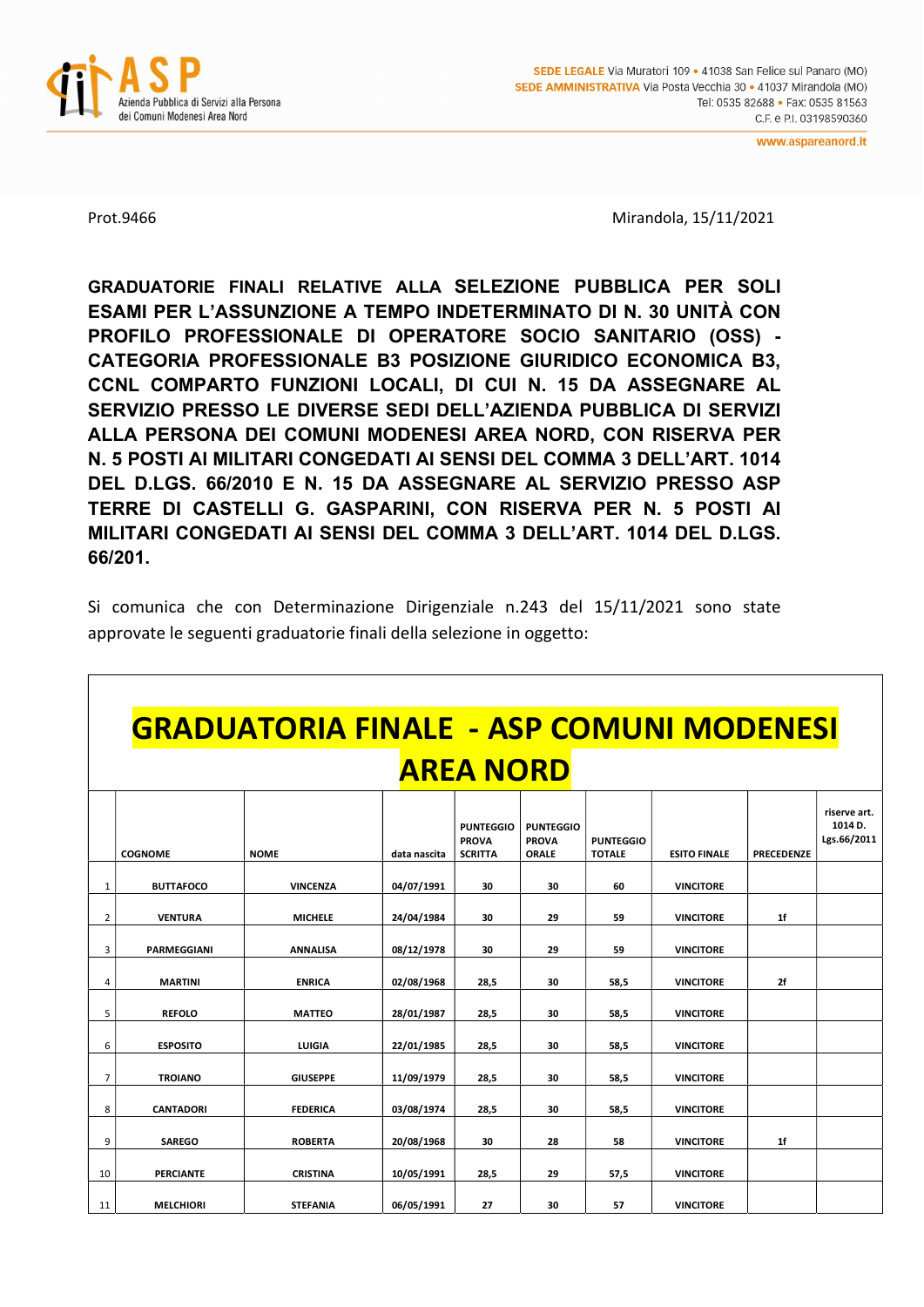

Prot.9466 Mirandola, 15/11/2021

GRADUATORIE FINALI RELATIVE ALLA SELEZIONE PUBBLICA PER SOLI ESAMI PER L'ASSUNZIONE A TEMPO INDETERMINATO DI N. 30 UNITÀ CON PROFILO PROFESSIONALE DI OPERATORE SOCIO SANITARIO (OSS) - CATEGORIA PROFESSIONALE B3 POSIZIONE GIURIDICO ECONOMICA B3, CCNL COMPARTO FUNZIONI LOCALI, DI CUI N. 15 DA ASSEGNARE AL SERVIZIO PRESSO LE DIVERSE SEDI DELL'AZIENDA PUBBLICA DI SERVIZI ALLA PERSONA DEI COMUNI MODENESI AREA NORD, CON RISERVA PER N. 5 POSTI AI MILITARI CONGEDATI AI SENSI DEL COMMA 3 DELL'ART. 1014 DEL D.LGS. 66/2010 E N. 15 DA ASSEGNARE AL SERVIZIO PRESSO ASP TERRE DI CASTELLI G. GASPARINI, CON RISERVA PER N. 5 POSTI AI MILITARI CONGEDATI AI SENSI DEL COMMA 3 DELL'ART. 1014 DEL D.LGS. 66/201.

Si comunica che con Determinazione Dirigenziale n.243 del 15/11/2021 sono state approvate le seguenti graduatorie finali della selezione in oggetto:

## GRADUATORIA FINALE - ASP COMUNI MODENESI AREA NORD

|                |                  |                 |              | <b>PUNTEGGIO</b><br><b>PROVA</b> | <b>PUNTEGGIO</b><br><b>PROVA</b> | <b>PUNTEGGIO</b> |                     |                   | riserve art.<br>1014 D.<br>Lgs.66/2011 |
|----------------|------------------|-----------------|--------------|----------------------------------|----------------------------------|------------------|---------------------|-------------------|----------------------------------------|
|                | <b>COGNOME</b>   | <b>NOME</b>     | data nascita | <b>SCRITTA</b>                   | ORALE                            | <b>TOTALE</b>    | <b>ESITO FINALE</b> | <b>PRECEDENZE</b> |                                        |
| 1              | <b>BUTTAFOCO</b> | <b>VINCENZA</b> | 04/07/1991   | 30                               | 30                               | 60               | <b>VINCITORE</b>    |                   |                                        |
| 2              | <b>VENTURA</b>   | <b>MICHELE</b>  | 24/04/1984   | 30                               | 29                               | 59               | <b>VINCITORE</b>    | 1 <sup>f</sup>    |                                        |
| 3              | PARMEGGIANI      | <b>ANNALISA</b> | 08/12/1978   | 30                               | 29                               | 59               | <b>VINCITORE</b>    |                   |                                        |
| 4              | <b>MARTINI</b>   | <b>ENRICA</b>   | 02/08/1968   | 28,5                             | 30                               | 58,5             | <b>VINCITORE</b>    | 2f                |                                        |
| 5              | <b>REFOLO</b>    | <b>MATTEO</b>   | 28/01/1987   | 28,5                             | 30                               | 58,5             | <b>VINCITORE</b>    |                   |                                        |
| 6              | <b>ESPOSITO</b>  | LUIGIA          | 22/01/1985   | 28,5                             | 30                               | 58,5             | <b>VINCITORE</b>    |                   |                                        |
| $\overline{7}$ | <b>TROIANO</b>   | <b>GIUSEPPE</b> | 11/09/1979   | 28,5                             | 30                               | 58,5             | <b>VINCITORE</b>    |                   |                                        |
| 8              | <b>CANTADORI</b> | <b>FEDERICA</b> | 03/08/1974   | 28,5                             | 30                               | 58,5             | <b>VINCITORE</b>    |                   |                                        |
| 9              | <b>SAREGO</b>    | <b>ROBERTA</b>  | 20/08/1968   | 30                               | 28                               | 58               | <b>VINCITORE</b>    | 1 <sup>f</sup>    |                                        |
| 10             | <b>PERCIANTE</b> | <b>CRISTINA</b> | 10/05/1991   | 28,5                             | 29                               | 57,5             | <b>VINCITORE</b>    |                   |                                        |
| 11             | <b>MELCHIORI</b> | <b>STEFANIA</b> | 06/05/1991   | 27                               | 30                               | 57               | <b>VINCITORE</b>    |                   |                                        |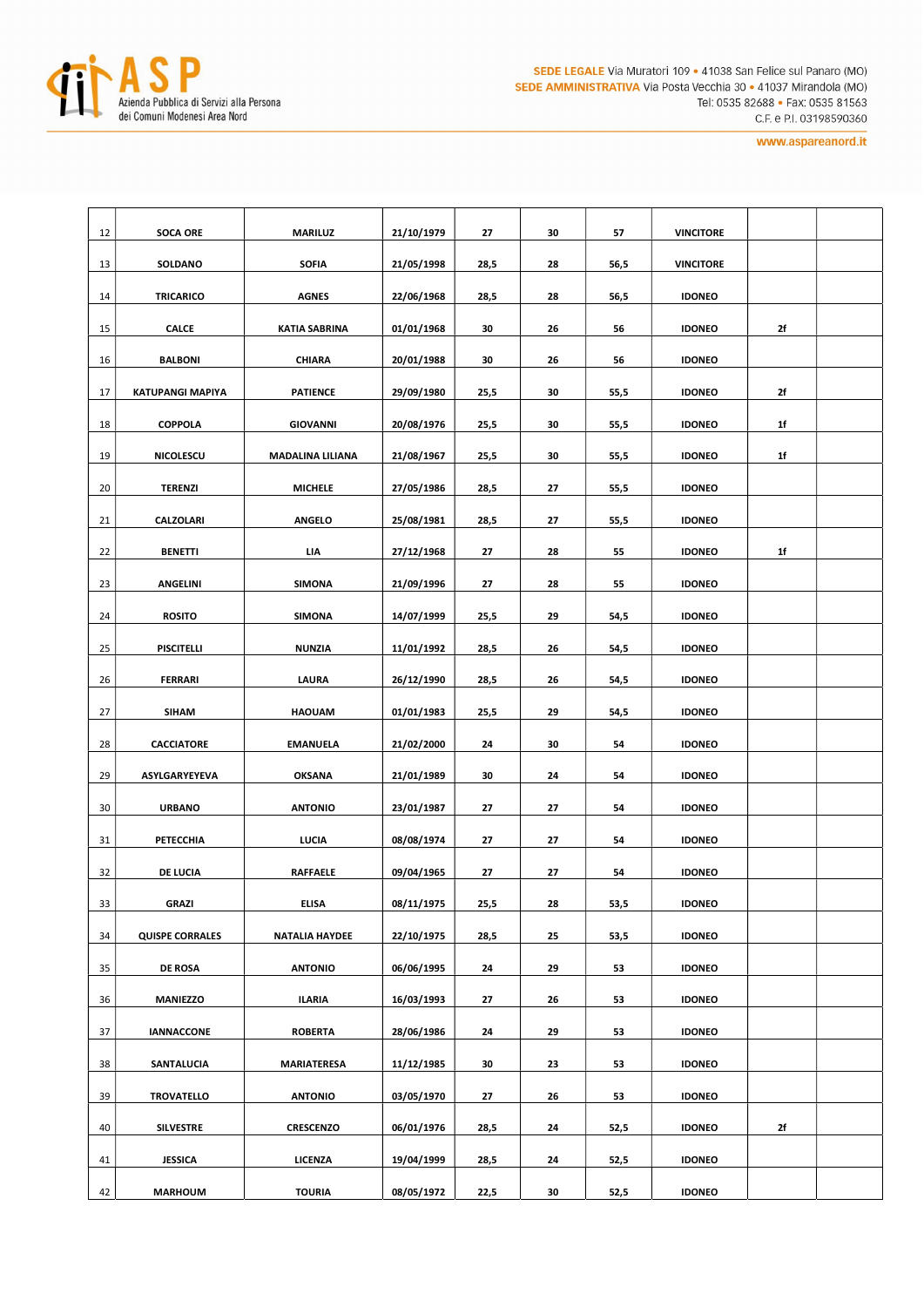

| 12 | <b>SOCA ORE</b>                    | <b>MARILUZ</b>       | 21/10/1979 | 27   | 30 | 57   | <b>VINCITORE</b> |    |  |
|----|------------------------------------|----------------------|------------|------|----|------|------------------|----|--|
| 13 | SOLDANO                            | <b>SOFIA</b>         | 21/05/1998 | 28,5 | 28 | 56,5 | <b>VINCITORE</b> |    |  |
| 14 | TRICARICO                          | <b>AGNES</b>         | 22/06/1968 | 28,5 | 28 | 56,5 | <b>IDONEO</b>    |    |  |
| 15 | <b>CALCE</b>                       | <b>KATIA SABRINA</b> | 01/01/1968 | 30   | 26 | 56   | <b>IDONEO</b>    | 2f |  |
| 16 | <b>BALBONI</b>                     | <b>CHIARA</b>        | 20/01/1988 | 30   | 26 | 56   | <b>IDONEO</b>    |    |  |
| 17 | <b>KATUPANGI MAPIYA</b>            | <b>PATIENCE</b>      | 29/09/1980 | 25,5 | 30 | 55,5 | <b>IDONEO</b>    | 2f |  |
| 18 | <b>COPPOLA</b>                     | <b>GIOVANNI</b>      | 20/08/1976 | 25,5 | 30 | 55,5 | <b>IDONEO</b>    | 1f |  |
| 19 | <b>NICOLESCU</b>                   | MADALINA LILIANA     | 21/08/1967 | 25,5 | 30 | 55,5 | <b>IDONEO</b>    | 1f |  |
| 20 | <b>TERENZI</b>                     | <b>MICHELE</b>       | 27/05/1986 | 28,5 | 27 | 55,5 | <b>IDONEO</b>    |    |  |
| 21 | <b>CALZOLARI</b>                   | <b>ANGELO</b>        | 25/08/1981 | 28,5 | 27 | 55,5 | <b>IDONEO</b>    |    |  |
| 22 | <b>BENETTI</b><br>LIA              |                      | 27/12/1968 | 27   | 28 | 55   | <b>IDONEO</b>    | 1f |  |
| 23 | <b>ANGELINI</b><br><b>SIMONA</b>   |                      | 21/09/1996 | 27   | 28 | 55   | <b>IDONEO</b>    |    |  |
| 24 | <b>ROSITO</b><br><b>SIMONA</b>     |                      | 14/07/1999 | 25,5 | 29 | 54,5 | <b>IDONEO</b>    |    |  |
| 25 | <b>PISCITELLI</b><br><b>NUNZIA</b> |                      | 11/01/1992 | 28,5 | 26 | 54,5 | <b>IDONEO</b>    |    |  |
| 26 | <b>FERRARI</b><br>LAURA            |                      | 26/12/1990 | 28,5 | 26 | 54,5 | <b>IDONEO</b>    |    |  |
| 27 | <b>SIHAM</b>                       | <b>HAOUAM</b>        | 01/01/1983 | 25,5 | 29 | 54,5 | <b>IDONEO</b>    |    |  |
| 28 | <b>CACCIATORE</b>                  | <b>EMANUELA</b>      | 21/02/2000 | 24   | 30 | 54   | <b>IDONEO</b>    |    |  |
| 29 | ASYLGARYEYEVA                      | <b>OKSANA</b>        | 21/01/1989 | 30   | 24 | 54   | <b>IDONEO</b>    |    |  |
| 30 | <b>URBANO</b>                      | <b>ANTONIO</b>       | 23/01/1987 | 27   | 27 | 54   | <b>IDONEO</b>    |    |  |
| 31 | PETECCHIA                          | LUCIA                | 08/08/1974 | 27   | 27 | 54   | <b>IDONEO</b>    |    |  |
| 32 | DE LUCIA                           | <b>RAFFAELE</b>      | 09/04/1965 | 27   | 27 | 54   | <b>IDONEO</b>    |    |  |
| 33 | <b>GRAZI</b>                       | <b>ELISA</b>         | 08/11/1975 | 25,5 | 28 | 53,5 | <b>IDONEO</b>    |    |  |
| 34 | <b>QUISPE CORRALES</b>             | NATALIA HAYDEE       | 22/10/1975 | 28,5 | 25 | 53,5 | <b>IDONEO</b>    |    |  |
| 35 | <b>DE ROSA</b>                     | <b>ANTONIO</b>       | 06/06/1995 | 24   | 29 | 53   | <b>IDONEO</b>    |    |  |
| 36 | <b>MANIEZZO</b>                    | <b>ILARIA</b>        | 16/03/1993 | 27   | 26 | 53   | <b>IDONEO</b>    |    |  |
| 37 | <b>IANNACCONE</b>                  | <b>ROBERTA</b>       | 28/06/1986 | 24   | 29 | 53   | <b>IDONEO</b>    |    |  |
| 38 | SANTALUCIA                         | MARIATERESA          | 11/12/1985 | 30   | 23 | 53   | <b>IDONEO</b>    |    |  |
| 39 | TROVATELLO                         | <b>ANTONIO</b>       | 03/05/1970 | 27   | 26 | 53   | <b>IDONEO</b>    |    |  |
| 40 | <b>SILVESTRE</b>                   | <b>CRESCENZO</b>     | 06/01/1976 | 28,5 | 24 | 52,5 | <b>IDONEO</b>    | 2f |  |
| 41 | <b>JESSICA</b>                     | LICENZA              | 19/04/1999 | 28,5 | 24 | 52,5 | <b>IDONEO</b>    |    |  |
| 42 | <b>MARHOUM</b>                     | <b>TOURIA</b>        | 08/05/1972 | 22,5 | 30 | 52,5 | <b>IDONEO</b>    |    |  |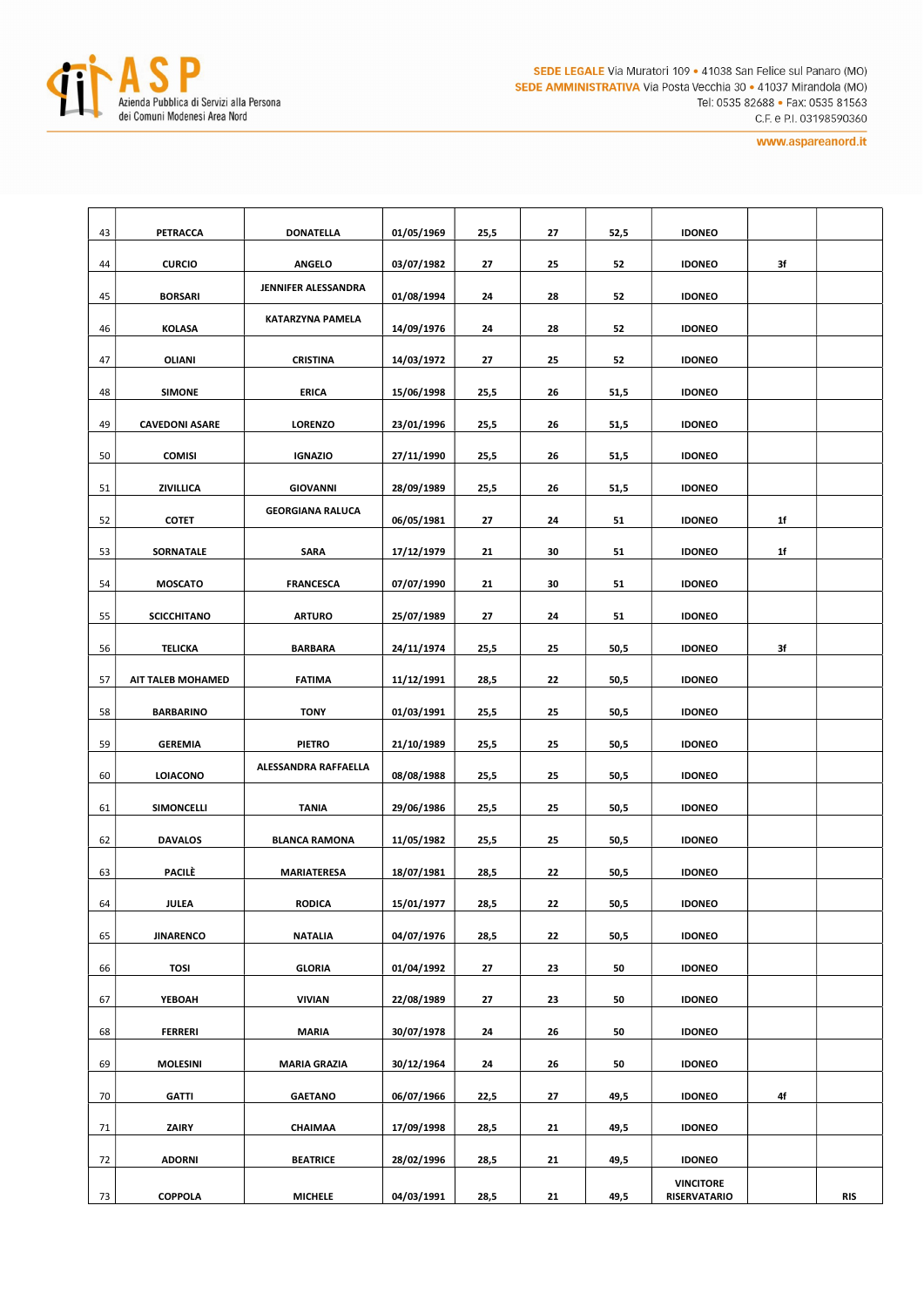

| 43 | PETRACCA              | <b>DONATELLA</b>                      | 01/05/1969 | 25,5 | 27 | 52,5 | <b>IDONEO</b>                           |                |            |
|----|-----------------------|---------------------------------------|------------|------|----|------|-----------------------------------------|----------------|------------|
| 44 | <b>CURCIO</b>         | <b>ANGELO</b>                         | 03/07/1982 | 27   | 25 | 52   | <b>IDONEO</b>                           | 3f             |            |
| 45 | <b>BORSARI</b>        | JENNIFER ALESSANDRA                   | 01/08/1994 | 24   | 28 | 52   | <b>IDONEO</b>                           |                |            |
| 46 | <b>KOLASA</b>         | <b>KATARZYNA PAMELA</b>               | 14/09/1976 | 24   | 28 | 52   | <b>IDONEO</b>                           |                |            |
| 47 | OLIANI                | <b>CRISTINA</b>                       | 14/03/1972 | 27   | 25 | 52   | <b>IDONEO</b>                           |                |            |
| 48 | <b>SIMONE</b>         | <b>ERICA</b>                          | 15/06/1998 | 25,5 | 26 | 51,5 | <b>IDONEO</b>                           |                |            |
| 49 | <b>CAVEDONI ASARE</b> | <b>LORENZO</b>                        | 23/01/1996 | 25,5 | 26 | 51,5 | <b>IDONEO</b>                           |                |            |
| 50 | <b>COMISI</b>         | <b>IGNAZIO</b>                        | 27/11/1990 | 25,5 | 26 | 51,5 | <b>IDONEO</b>                           |                |            |
| 51 | ZIVILLICA             | <b>GIOVANNI</b>                       | 28/09/1989 | 25,5 | 26 | 51,5 | <b>IDONEO</b>                           |                |            |
| 52 | <b>COTET</b>          | <b>GEORGIANA RALUCA</b><br>06/05/1981 |            | 27   | 24 | 51   | <b>IDONEO</b>                           | 1f             |            |
| 53 | SORNATALE             | <b>SARA</b>                           | 17/12/1979 | 21   | 30 | 51   | <b>IDONEO</b>                           | 1 <sup>f</sup> |            |
| 54 | <b>MOSCATO</b>        | <b>FRANCESCA</b>                      | 07/07/1990 | 21   | 30 | 51   | <b>IDONEO</b>                           |                |            |
| 55 | <b>SCICCHITANO</b>    | <b>ARTURO</b><br>25/07/1989           |            | 27   | 24 | 51   | <b>IDONEO</b>                           |                |            |
| 56 | <b>TELICKA</b>        | <b>BARBARA</b>                        | 24/11/1974 | 25,5 | 25 | 50,5 | <b>IDONEO</b>                           | 3f             |            |
| 57 | AIT TALEB MOHAMED     | <b>FATIMA</b>                         |            | 28,5 | 22 | 50,5 | <b>IDONEO</b>                           |                |            |
| 58 | <b>BARBARINO</b>      | <b>TONY</b>                           | 01/03/1991 | 25,5 | 25 | 50,5 | <b>IDONEO</b>                           |                |            |
| 59 | <b>GEREMIA</b>        | <b>PIETRO</b>                         | 21/10/1989 | 25,5 | 25 | 50,5 | <b>IDONEO</b>                           |                |            |
| 60 | <b>LOIACONO</b>       | ALESSANDRA RAFFAELLA                  | 08/08/1988 | 25,5 | 25 | 50,5 | <b>IDONEO</b>                           |                |            |
| 61 | SIMONCELLI            | <b>TANIA</b>                          | 29/06/1986 | 25,5 | 25 | 50,5 | <b>IDONEO</b>                           |                |            |
| 62 | <b>DAVALOS</b>        | <b>BLANCA RAMONA</b>                  | 11/05/1982 | 25,5 | 25 | 50,5 | <b>IDONEO</b>                           |                |            |
| 63 | PACILÈ                | <b>MARIATERESA</b>                    | 18/07/1981 | 28,5 | 22 | 50,5 | <b>IDONEO</b>                           |                |            |
| 64 | JULEA                 | <b>RODICA</b>                         | 15/01/1977 | 28,5 | 22 | 50,5 | <b>IDONEO</b>                           |                |            |
| 65 | <b>JINARENCO</b>      | <b>NATALIA</b>                        | 04/07/1976 | 28,5 | 22 | 50,5 | <b>IDONEO</b>                           |                |            |
| 66 | <b>TOSI</b>           | <b>GLORIA</b>                         | 01/04/1992 | 27   | 23 | 50   | <b>IDONEO</b>                           |                |            |
| 67 | YEBOAH                | <b>VIVIAN</b>                         | 22/08/1989 | 27   | 23 | 50   | <b>IDONEO</b>                           |                |            |
| 68 | <b>FERRERI</b>        | <b>MARIA</b>                          | 30/07/1978 | 24   | 26 | 50   | <b>IDONEO</b>                           |                |            |
| 69 | <b>MOLESINI</b>       | <b>MARIA GRAZIA</b>                   | 30/12/1964 | 24   | 26 | 50   | <b>IDONEO</b>                           |                |            |
| 70 | <b>GATTI</b>          | <b>GAETANO</b>                        | 06/07/1966 | 22,5 | 27 | 49,5 | <b>IDONEO</b>                           | 4f             |            |
| 71 | ZAIRY                 | CHAIMAA                               | 17/09/1998 | 28,5 | 21 | 49,5 | <b>IDONEO</b>                           |                |            |
| 72 | <b>ADORNI</b>         | <b>BEATRICE</b>                       | 28/02/1996 | 28,5 | 21 | 49,5 | <b>IDONEO</b>                           |                |            |
| 73 | COPPOLA               | <b>MICHELE</b>                        | 04/03/1991 | 28,5 | 21 | 49,5 | <b>VINCITORE</b><br><b>RISERVATARIO</b> |                | <b>RIS</b> |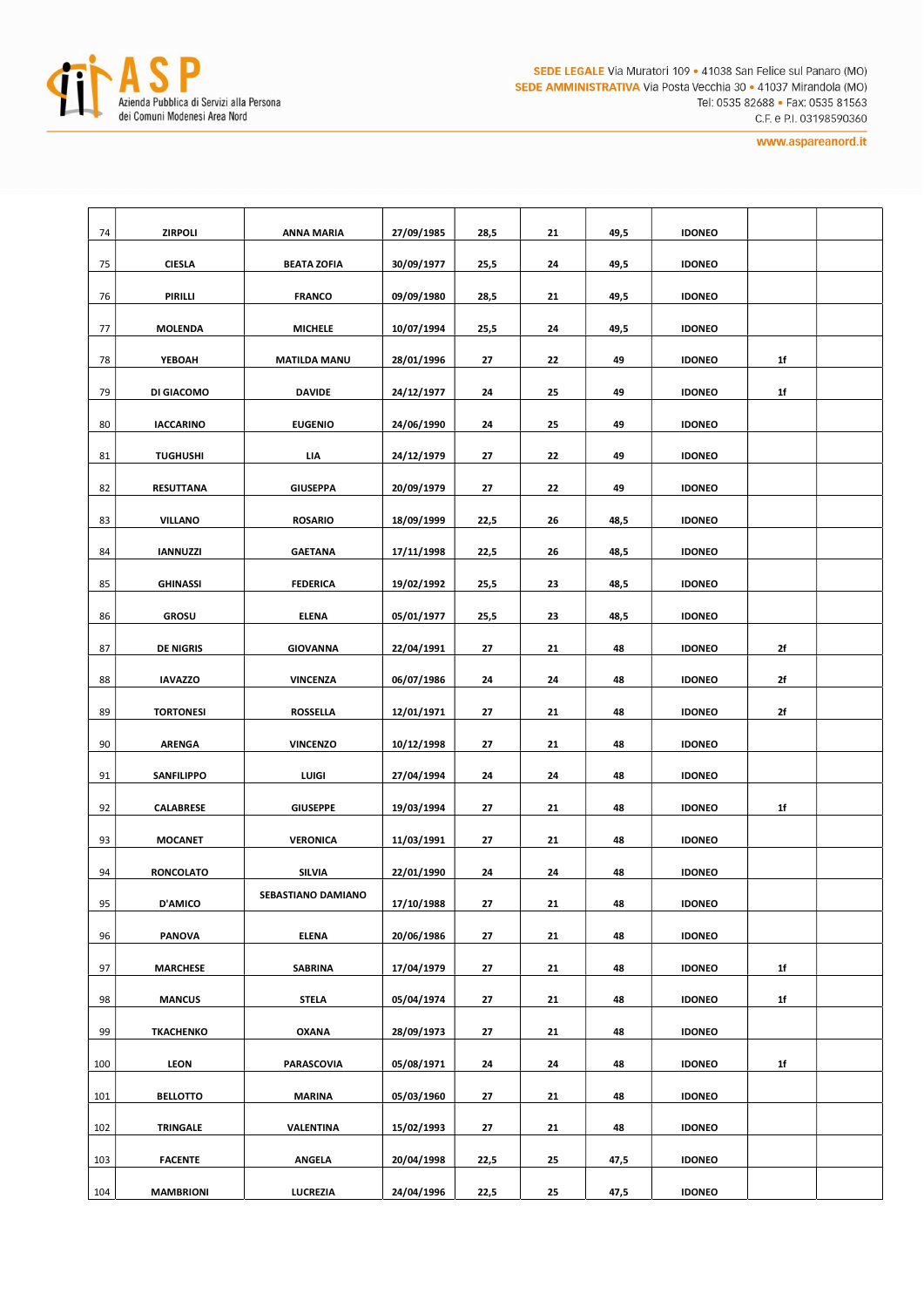

| 74  | <b>ZIRPOLI</b>    | <b>ANNA MARIA</b>             | 27/09/1985 | 28,5 | 21 | 49,5 | <b>IDONEO</b> |                |  |
|-----|-------------------|-------------------------------|------------|------|----|------|---------------|----------------|--|
| 75  | <b>CIESLA</b>     | <b>BEATA ZOFIA</b>            | 30/09/1977 | 25,5 | 24 | 49,5 | <b>IDONEO</b> |                |  |
| 76  | PIRILLI           | <b>FRANCO</b>                 | 09/09/1980 | 28,5 | 21 | 49,5 | <b>IDONEO</b> |                |  |
| 77  | <b>MOLENDA</b>    | <b>MICHELE</b>                | 10/07/1994 | 25,5 | 24 | 49,5 | <b>IDONEO</b> |                |  |
| 78  | YEBOAH            | <b>MATILDA MANU</b>           | 28/01/1996 | 27   | 22 | 49   | <b>IDONEO</b> | 1 <sup>f</sup> |  |
| 79  | DI GIACOMO        | <b>DAVIDE</b>                 | 24/12/1977 | 24   | 25 | 49   | <b>IDONEO</b> | 1f             |  |
| 80  | <b>IACCARINO</b>  | <b>EUGENIO</b>                | 24/06/1990 | 24   | 25 | 49   | <b>IDONEO</b> |                |  |
| 81  | <b>TUGHUSHI</b>   | LIA<br>24/12/1979             |            | 27   | 22 | 49   | <b>IDONEO</b> |                |  |
| 82  | <b>RESUTTANA</b>  | <b>GIUSEPPA</b>               | 20/09/1979 | 27   | 22 | 49   | <b>IDONEO</b> |                |  |
| 83  | <b>VILLANO</b>    | <b>ROSARIO</b>                | 18/09/1999 | 22,5 | 26 | 48,5 | <b>IDONEO</b> |                |  |
| 84  | <b>IANNUZZI</b>   | <b>GAETANA</b>                | 17/11/1998 | 22,5 | 26 | 48,5 | <b>IDONEO</b> |                |  |
| 85  | <b>GHINASSI</b>   | <b>FEDERICA</b><br>19/02/1992 |            | 25,5 | 23 | 48,5 | <b>IDONEO</b> |                |  |
| 86  | <b>GROSU</b>      | <b>ELENA</b><br>05/01/1977    |            | 25,5 | 23 | 48,5 | <b>IDONEO</b> |                |  |
| 87  | <b>DE NIGRIS</b>  | <b>GIOVANNA</b>               |            | 27   | 21 | 48   | <b>IDONEO</b> | 2f             |  |
| 88  | <b>IAVAZZO</b>    | <b>VINCENZA</b>               | 06/07/1986 | 24   | 24 | 48   | <b>IDONEO</b> | 2f             |  |
| 89  | <b>TORTONESI</b>  | <b>ROSSELLA</b>               | 12/01/1971 | 27   | 21 | 48   | <b>IDONEO</b> | 2f             |  |
| 90  | <b>ARENGA</b>     | <b>VINCENZO</b>               | 10/12/1998 | 27   | 21 | 48   | <b>IDONEO</b> |                |  |
| 91  | <b>SANFILIPPO</b> | LUIGI                         | 27/04/1994 | 24   | 24 | 48   | <b>IDONEO</b> |                |  |
| 92  | CALABRESE         | <b>GIUSEPPE</b>               | 19/03/1994 | 27   | 21 | 48   | <b>IDONEO</b> | 1f             |  |
| 93  | <b>MOCANET</b>    | <b>VERONICA</b>               | 11/03/1991 | 27   | 21 | 48   | <b>IDONEO</b> |                |  |
| 94  | <b>RONCOLATO</b>  | <b>SILVIA</b>                 | 22/01/1990 | 24   | 24 | 48   | <b>IDONEO</b> |                |  |
| 95  | <b>D'AMICO</b>    | SEBASTIANO DAMIANO            | 17/10/1988 | 27   | 21 | 48   | <b>IDONEO</b> |                |  |
| 96  | <b>PANOVA</b>     | <b>ELENA</b>                  | 20/06/1986 | 27   | 21 | 48   | <b>IDONEO</b> |                |  |
| 97  | <b>MARCHESE</b>   | <b>SABRINA</b>                | 17/04/1979 | 27   | 21 | 48   | <b>IDONEO</b> | 1f             |  |
| 98  | <b>MANCUS</b>     | <b>STELA</b>                  | 05/04/1974 | 27   | 21 | 48   | <b>IDONEO</b> | 1f             |  |
| 99  | TKACHENKO         | <b>OXANA</b>                  | 28/09/1973 | 27   | 21 | 48   | <b>IDONEO</b> |                |  |
| 100 | LEON              | PARASCOVIA                    | 05/08/1971 | 24   | 24 | 48   | <b>IDONEO</b> | 1 <sup>f</sup> |  |
| 101 | <b>BELLOTTO</b>   | <b>MARINA</b>                 | 05/03/1960 | 27   | 21 | 48   | <b>IDONEO</b> |                |  |
| 102 | <b>TRINGALE</b>   | VALENTINA                     | 15/02/1993 | 27   | 21 | 48   | <b>IDONEO</b> |                |  |
| 103 | <b>FACENTE</b>    | <b>ANGELA</b>                 | 20/04/1998 | 22,5 | 25 | 47,5 | <b>IDONEO</b> |                |  |
| 104 | <b>MAMBRIONI</b>  | LUCREZIA                      | 24/04/1996 | 22,5 | 25 | 47,5 | <b>IDONEO</b> |                |  |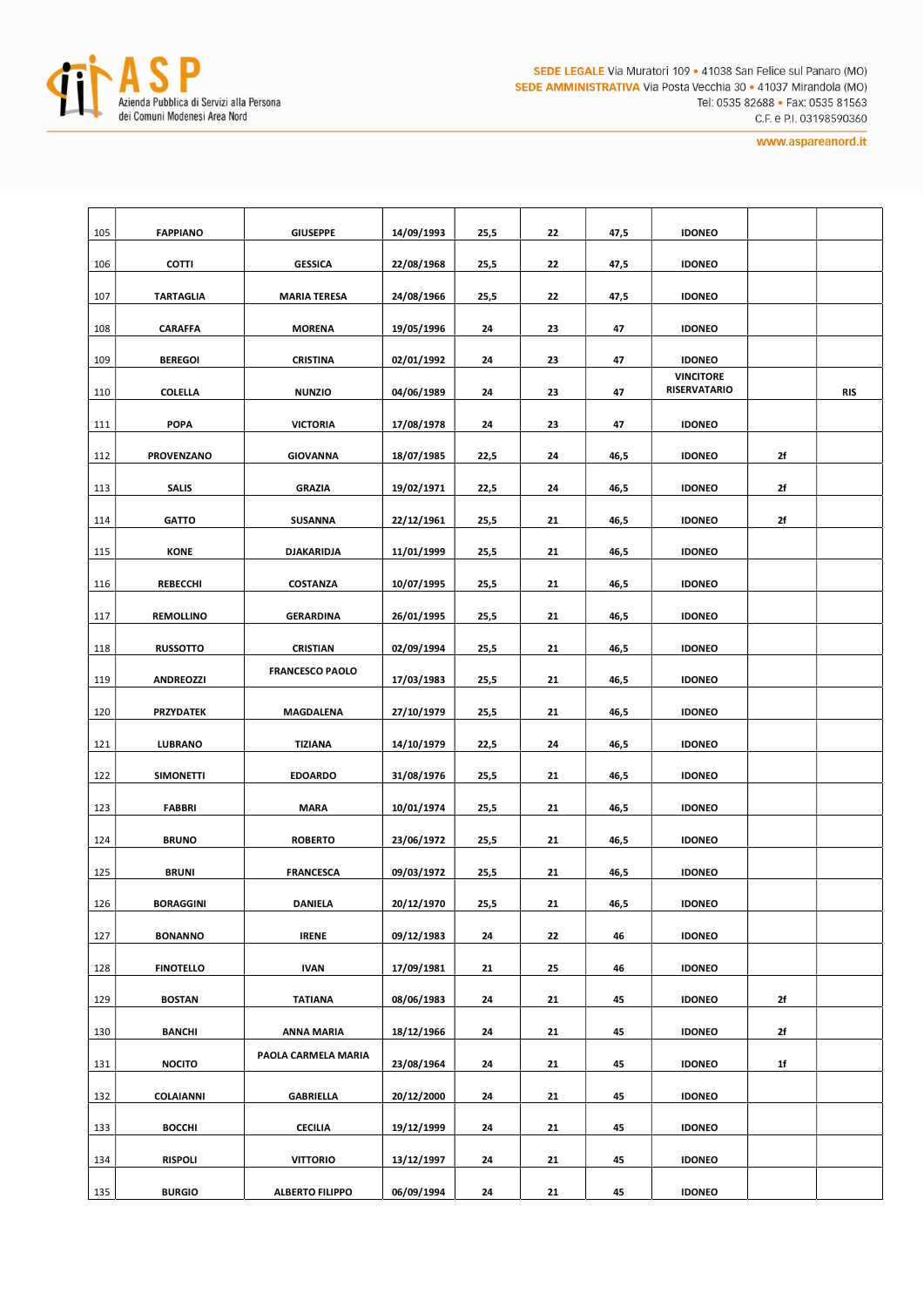

| 105 | <b>FAPPIANO</b>  | <b>GIUSEPPE</b>        | 14/09/1993 | 25,5 | 22 | 47,5 | <b>IDONEO</b>                           |    |            |
|-----|------------------|------------------------|------------|------|----|------|-----------------------------------------|----|------------|
| 106 | <b>COTTI</b>     | <b>GESSICA</b>         | 22/08/1968 | 25,5 | 22 | 47,5 | <b>IDONEO</b>                           |    |            |
| 107 | <b>TARTAGLIA</b> | <b>MARIA TERESA</b>    | 24/08/1966 | 25,5 | 22 | 47,5 | <b>IDONEO</b>                           |    |            |
| 108 | <b>CARAFFA</b>   | <b>MORENA</b>          | 19/05/1996 | 24   | 23 | 47   | <b>IDONEO</b>                           |    |            |
| 109 | <b>BEREGOI</b>   | <b>CRISTINA</b>        | 02/01/1992 | 24   | 23 | 47   | <b>IDONEO</b>                           |    |            |
| 110 | <b>COLELLA</b>   | <b>NUNZIO</b>          | 04/06/1989 | 24   | 23 | 47   | <b>VINCITORE</b><br><b>RISERVATARIO</b> |    | <b>RIS</b> |
| 111 | <b>POPA</b>      | <b>VICTORIA</b>        | 17/08/1978 | 24   | 23 | 47   | <b>IDONEO</b>                           |    |            |
| 112 | PROVENZANO       | <b>GIOVANNA</b>        | 18/07/1985 | 22,5 | 24 | 46,5 | <b>IDONEO</b>                           | 2f |            |
| 113 | <b>SALIS</b>     | <b>GRAZIA</b>          | 19/02/1971 | 22,5 | 24 | 46,5 | <b>IDONEO</b>                           | 2f |            |
| 114 | <b>GATTO</b>     | <b>SUSANNA</b>         | 22/12/1961 | 25,5 | 21 | 46,5 | <b>IDONEO</b>                           | 2f |            |
| 115 | <b>KONE</b>      | <b>DJAKARIDJA</b>      | 11/01/1999 | 25,5 | 21 | 46,5 | <b>IDONEO</b>                           |    |            |
| 116 | <b>REBECCHI</b>  | <b>COSTANZA</b>        | 10/07/1995 | 25,5 | 21 | 46,5 | <b>IDONEO</b>                           |    |            |
| 117 | <b>REMOLLINO</b> | <b>GERARDINA</b>       | 26/01/1995 | 25,5 | 21 | 46,5 | <b>IDONEO</b>                           |    |            |
| 118 | <b>RUSSOTTO</b>  | <b>CRISTIAN</b>        | 02/09/1994 | 25,5 | 21 | 46,5 | <b>IDONEO</b>                           |    |            |
| 119 | <b>ANDREOZZI</b> | <b>FRANCESCO PAOLO</b> | 17/03/1983 | 25,5 | 21 | 46,5 | <b>IDONEO</b>                           |    |            |
| 120 | <b>PRZYDATEK</b> | MAGDALENA              | 27/10/1979 | 25,5 | 21 | 46,5 | <b>IDONEO</b>                           |    |            |
| 121 | <b>LUBRANO</b>   | <b>TIZIANA</b>         | 14/10/1979 | 22,5 | 24 | 46,5 | <b>IDONEO</b>                           |    |            |
| 122 | <b>SIMONETTI</b> | <b>EDOARDO</b>         | 31/08/1976 | 25,5 | 21 | 46,5 | <b>IDONEO</b>                           |    |            |
| 123 | <b>FABBRI</b>    | <b>MARA</b>            | 10/01/1974 | 25,5 | 21 | 46,5 | <b>IDONEO</b>                           |    |            |
| 124 | <b>BRUNO</b>     | <b>ROBERTO</b>         | 23/06/1972 | 25,5 | 21 | 46,5 | <b>IDONEO</b>                           |    |            |
| 125 | <b>BRUNI</b>     | <b>FRANCESCA</b>       | 09/03/1972 | 25,5 | 21 | 46,5 | <b>IDONEO</b>                           |    |            |
| 126 | <b>BORAGGINI</b> | <b>DANIELA</b>         | 20/12/1970 | 25,5 | 21 | 46,5 | <b>IDONEO</b>                           |    |            |
| 127 | <b>BONANNO</b>   | <b>IRENE</b>           | 09/12/1983 | 24   | 22 | 46   | <b>IDONEO</b>                           |    |            |
| 128 | <b>FINOTELLO</b> | <b>IVAN</b>            | 17/09/1981 | 21   | 25 | 46   | <b>IDONEO</b>                           |    |            |
| 129 | <b>BOSTAN</b>    | <b>TATIANA</b>         | 08/06/1983 | 24   | 21 | 45   | <b>IDONEO</b>                           | 2f |            |
| 130 | <b>BANCHI</b>    | <b>ANNA MARIA</b>      | 18/12/1966 | 24   | 21 | 45   | <b>IDONEO</b>                           | 2f |            |
| 131 | <b>NOCITO</b>    | PAOLA CARMELA MARIA    | 23/08/1964 | 24   | 21 | 45   | <b>IDONEO</b>                           | 1f |            |
| 132 | COLAIANNI        | <b>GABRIELLA</b>       | 20/12/2000 | 24   | 21 | 45   | <b>IDONEO</b>                           |    |            |
| 133 | <b>BOCCHI</b>    | <b>CECILIA</b>         | 19/12/1999 | 24   | 21 | 45   | <b>IDONEO</b>                           |    |            |
| 134 | <b>RISPOLI</b>   | <b>VITTORIO</b>        | 13/12/1997 | 24   | 21 | 45   | <b>IDONEO</b>                           |    |            |
| 135 | <b>BURGIO</b>    | <b>ALBERTO FILIPPO</b> | 06/09/1994 | 24   | 21 | 45   | <b>IDONEO</b>                           |    |            |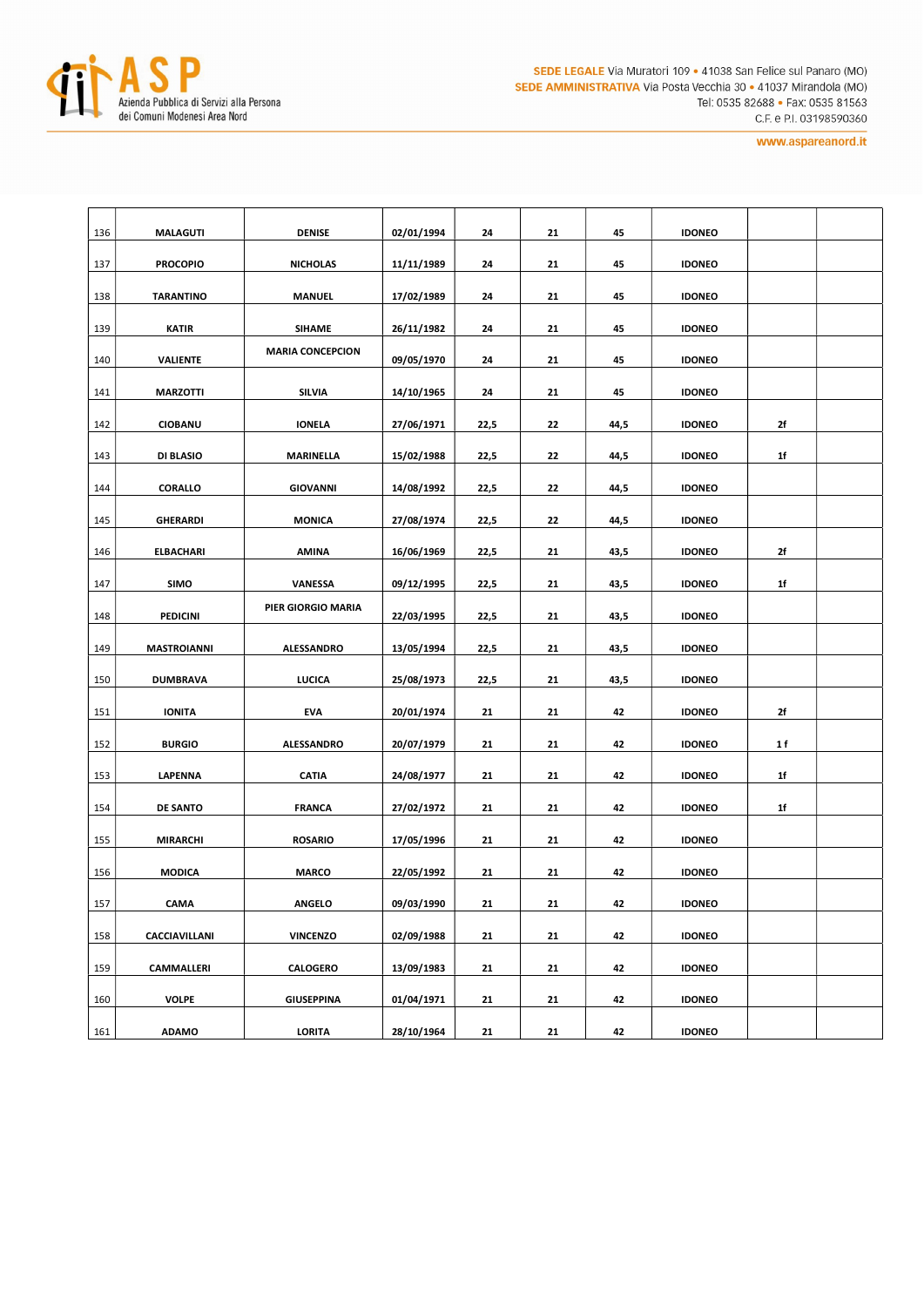

| 136 | <b>MALAGUTI</b>    | <b>DENISE</b>           | 02/01/1994               | 24   | 21 | 45   | <b>IDONEO</b> |     |  |
|-----|--------------------|-------------------------|--------------------------|------|----|------|---------------|-----|--|
| 137 | <b>PROCOPIO</b>    | <b>NICHOLAS</b>         | 11/11/1989               | 24   | 21 | 45   | <b>IDONEO</b> |     |  |
| 138 | <b>TARANTINO</b>   | <b>MANUEL</b>           | 17/02/1989               | 24   | 21 | 45   | <b>IDONEO</b> |     |  |
| 139 | <b>KATIR</b>       | <b>SIHAME</b>           | 26/11/1982               | 24   | 21 | 45   | <b>IDONEO</b> |     |  |
|     |                    | <b>MARIA CONCEPCION</b> |                          |      |    |      | <b>IDONEO</b> |     |  |
| 140 | <b>VALIENTE</b>    |                         | 09/05/1970               | 24   | 21 | 45   |               |     |  |
| 141 | <b>MARZOTTI</b>    | SILVIA                  | 14/10/1965               | 24   | 21 | 45   | <b>IDONEO</b> |     |  |
| 142 | <b>CIOBANU</b>     | <b>IONELA</b>           | 27/06/1971               | 22,5 | 22 | 44,5 | <b>IDONEO</b> | 2f  |  |
| 143 | DI BLASIO          | MARINELLA               | 15/02/1988               | 22,5 | 22 | 44,5 | <b>IDONEO</b> | 1f  |  |
| 144 | CORALLO            | <b>GIOVANNI</b>         |                          | 22,5 | 22 | 44,5 | <b>IDONEO</b> |     |  |
| 145 | <b>GHERARDI</b>    | <b>MONICA</b>           | 14/08/1992<br>27/08/1974 | 22,5 | 22 | 44,5 | <b>IDONEO</b> |     |  |
|     |                    |                         |                          |      |    |      |               |     |  |
| 146 | <b>ELBACHARI</b>   | <b>AMINA</b>            | 16/06/1969               | 22,5 | 21 | 43,5 | <b>IDONEO</b> | 2f  |  |
| 147 | <b>SIMO</b>        | VANESSA                 | 09/12/1995               | 22,5 | 21 | 43,5 | <b>IDONEO</b> | 1f  |  |
| 148 | PEDICINI           | PIER GIORGIO MARIA      |                          | 22,5 | 21 | 43,5 | <b>IDONEO</b> |     |  |
| 149 | <b>MASTROIANNI</b> | ALESSANDRO              | 13/05/1994               | 22,5 | 21 | 43,5 | <b>IDONEO</b> |     |  |
|     |                    |                         |                          |      |    |      |               |     |  |
| 150 | <b>DUMBRAVA</b>    | <b>LUCICA</b>           | 25/08/1973               | 22,5 | 21 | 43,5 | <b>IDONEO</b> |     |  |
| 151 | <b>IONITA</b>      | <b>EVA</b>              | 20/01/1974               | 21   | 21 | 42   | <b>IDONEO</b> | 2f  |  |
| 152 | <b>BURGIO</b>      | ALESSANDRO              | 20/07/1979               | 21   | 21 | 42   | <b>IDONEO</b> | 1 f |  |
| 153 | LAPENNA            | <b>CATIA</b>            | 24/08/1977               | 21   | 21 | 42   | <b>IDONEO</b> | 1f  |  |
| 154 | <b>DE SANTO</b>    | <b>FRANCA</b>           | 27/02/1972               | 21   | 21 | 42   | <b>IDONEO</b> | 1f  |  |
|     |                    |                         |                          |      |    |      |               |     |  |
| 155 | <b>MIRARCHI</b>    | <b>ROSARIO</b>          | 17/05/1996               | 21   | 21 | 42   | <b>IDONEO</b> |     |  |
| 156 | <b>MODICA</b>      | <b>MARCO</b>            | 22/05/1992               | 21   | 21 | 42   | <b>IDONEO</b> |     |  |
| 157 | CAMA               | <b>ANGELO</b>           | 09/03/1990               | 21   | 21 | 42   | <b>IDONEO</b> |     |  |
| 158 | CACCIAVILLANI      | <b>VINCENZO</b>         | 02/09/1988               | 21   | 21 | 42   | <b>IDONEO</b> |     |  |
| 159 | CAMMALLERI         | CALOGERO                | 13/09/1983               | 21   | 21 | 42   | <b>IDONEO</b> |     |  |
|     |                    |                         |                          |      |    |      |               |     |  |
| 160 | <b>VOLPE</b>       | <b>GIUSEPPINA</b>       | 01/04/1971               | 21   | 21 | 42   | <b>IDONEO</b> |     |  |
| 161 | <b>ADAMO</b>       | LORITA                  | 28/10/1964               | 21   | 21 | 42   | <b>IDONEO</b> |     |  |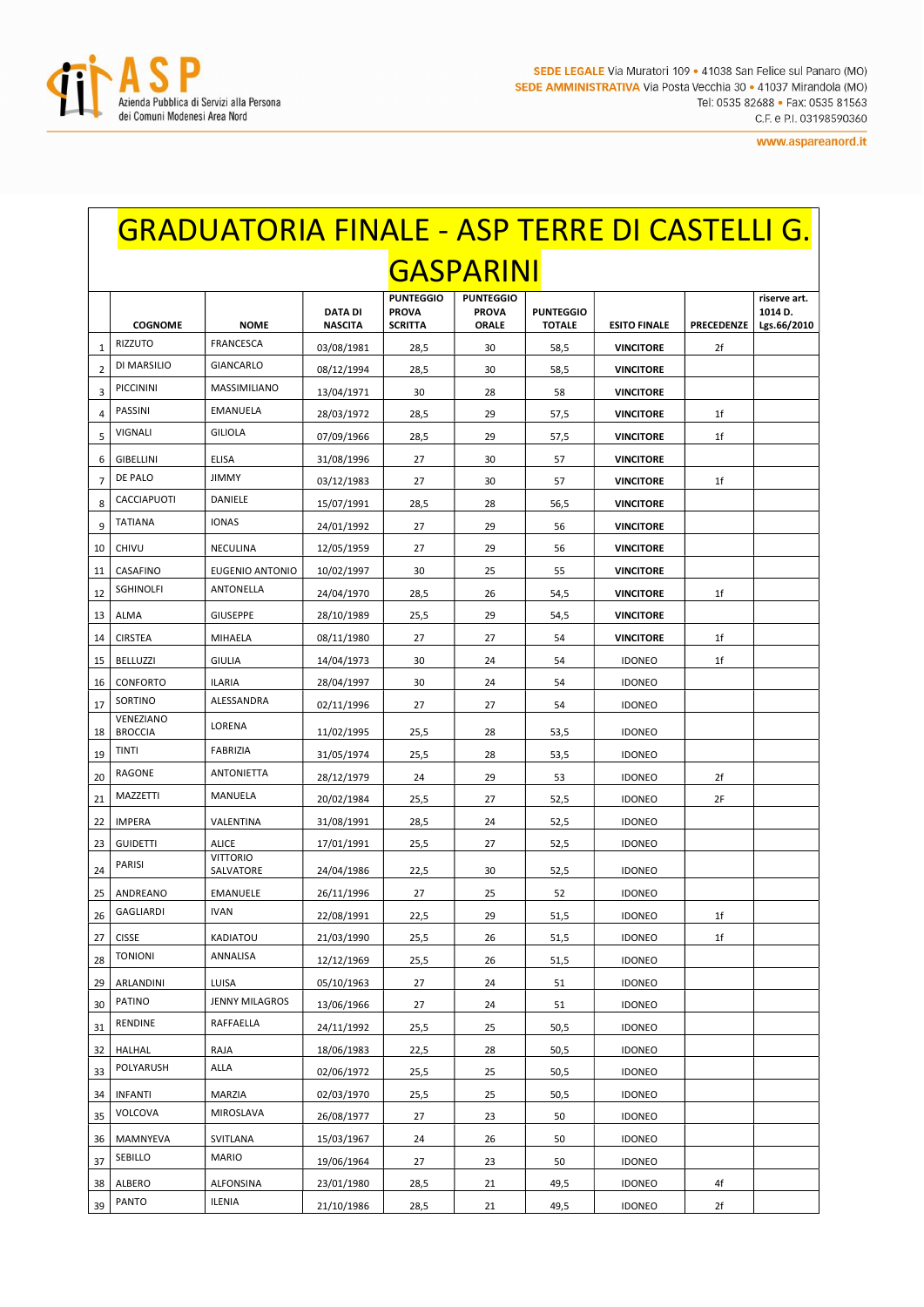

## GRADUATORIA FINALE - ASP TERRE DI CASTELLI G. **GASPARINI**

|                | <b>COGNOME</b>              | <b>NOME</b>                  | <b>DATA DI</b><br><b>NASCITA</b> | <b>PUNTEGGIO</b><br><b>PROVA</b><br><b>SCRITTA</b> | <b>PUNTEGGIO</b><br><b>PROVA</b><br>ORALE | <b>PUNTEGGIO</b><br><b>TOTALE</b> | <b>ESITO FINALE</b> | <b>PRECEDENZE</b> | riserve art.<br>1014 D.<br>Lgs.66/2010 |
|----------------|-----------------------------|------------------------------|----------------------------------|----------------------------------------------------|-------------------------------------------|-----------------------------------|---------------------|-------------------|----------------------------------------|
| $\mathbf{1}$   | RIZZUTO                     | <b>FRANCESCA</b>             | 03/08/1981                       | 28,5                                               | 30                                        | 58,5                              | <b>VINCITORE</b>    | 2f                |                                        |
| $\overline{2}$ | DI MARSILIO                 | <b>GIANCARLO</b>             | 08/12/1994                       | 28,5                                               | 30                                        | 58,5                              | <b>VINCITORE</b>    |                   |                                        |
| 3              | <b>PICCININI</b>            | MASSIMILIANO                 | 13/04/1971                       | 30                                                 | 28                                        | 58                                | <b>VINCITORE</b>    |                   |                                        |
| 4              | PASSINI                     | <b>EMANUELA</b>              | 28/03/1972                       | 28,5                                               | 29                                        | 57,5                              | <b>VINCITORE</b>    | 1f                |                                        |
| 5              | VIGNALI                     | <b>GILIOLA</b>               | 07/09/1966                       | 28,5                                               | 29                                        | 57,5                              | <b>VINCITORE</b>    | 1f                |                                        |
| 6              | GIBELLINI                   | <b>ELISA</b>                 | 31/08/1996                       | 27                                                 | 30                                        | 57                                | <b>VINCITORE</b>    |                   |                                        |
| $\overline{7}$ | DE PALO                     | <b>JIMMY</b>                 | 03/12/1983                       | 27                                                 | 30                                        | 57                                | <b>VINCITORE</b>    | 1f                |                                        |
| 8              | CACCIAPUOTI                 | DANIELE                      | 15/07/1991                       | 28,5                                               | 28                                        | 56,5                              | <b>VINCITORE</b>    |                   |                                        |
| 9              | <b>TATIANA</b>              | <b>IONAS</b>                 | 24/01/1992                       | 27                                                 | 29                                        | 56                                | <b>VINCITORE</b>    |                   |                                        |
| 10             | <b>CHIVU</b>                | NECULINA                     | 12/05/1959                       | 27                                                 | 29                                        | 56                                | <b>VINCITORE</b>    |                   |                                        |
| 11             | CASAFINO                    | <b>EUGENIO ANTONIO</b>       | 10/02/1997                       | 30                                                 | 25                                        | 55                                | <b>VINCITORE</b>    |                   |                                        |
| 12             | <b>SGHINOLFI</b>            | ANTONELLA                    | 24/04/1970                       | 28,5                                               | 26                                        | 54,5                              | <b>VINCITORE</b>    | 1f                |                                        |
| 13             | ALMA                        | <b>GIUSEPPE</b>              | 28/10/1989                       | 25,5                                               | 29                                        | 54,5                              | <b>VINCITORE</b>    |                   |                                        |
| 14             | <b>CIRSTEA</b>              | MIHAELA                      | 08/11/1980                       | 27                                                 | 27                                        | 54                                | <b>VINCITORE</b>    | 1f                |                                        |
| 15             | <b>BELLUZZI</b>             | <b>GIULIA</b>                | 14/04/1973                       | 30                                                 | 24                                        | 54                                | <b>IDONEO</b>       | 1f                |                                        |
| 16             | <b>CONFORTO</b>             | <b>ILARIA</b>                | 28/04/1997                       | 30                                                 | 24                                        | 54                                | <b>IDONEO</b>       |                   |                                        |
| 17             | SORTINO                     | ALESSANDRA                   | 02/11/1996                       | 27                                                 | 27                                        | 54                                | <b>IDONEO</b>       |                   |                                        |
| 18             | VENEZIANO<br><b>BROCCIA</b> | LORENA                       | 11/02/1995                       | 25,5                                               | 28                                        | 53,5                              | <b>IDONEO</b>       |                   |                                        |
| 19             | <b>TINTI</b>                | <b>FABRIZIA</b>              | 31/05/1974                       | 25,5                                               | 28                                        | 53,5                              | <b>IDONEO</b>       |                   |                                        |
| 20             | RAGONE                      | <b>ANTONIETTA</b>            | 28/12/1979                       | 24                                                 | 29                                        | 53                                | <b>IDONEO</b>       | 2f                |                                        |
| 21             | MAZZETTI                    | MANUELA                      | 20/02/1984                       | 25,5                                               | 27                                        | 52,5                              | <b>IDONEO</b>       | 2F                |                                        |
| 22             | <b>IMPERA</b>               | VALENTINA                    | 31/08/1991                       | 28,5                                               | 24                                        | 52,5                              | <b>IDONEO</b>       |                   |                                        |
| 23             | <b>GUIDETTI</b>             | <b>ALICE</b>                 | 17/01/1991                       | 25,5                                               | 27                                        | 52,5                              | <b>IDONEO</b>       |                   |                                        |
| 24             | PARISI                      | <b>VITTORIO</b><br>SALVATORE | 24/04/1986                       | 22,5                                               | 30                                        | 52,5                              | <b>IDONEO</b>       |                   |                                        |
| 25             | ANDREANO                    | <b>EMANUELE</b>              | 26/11/1996                       | 27                                                 | 25                                        | 52                                | <b>IDONEO</b>       |                   |                                        |
| 26             | GAGLIARDI                   | <b>IVAN</b>                  | 22/08/1991                       | 22,5                                               | 29                                        | 51,5                              | <b>IDONEO</b>       | 1f                |                                        |
| 27             | <b>CISSE</b>                | KADIATOU                     | 21/03/1990                       | 25,5                                               | 26                                        | 51,5                              | <b>IDONEO</b>       | 1f                |                                        |
| 28             | <b>TONIONI</b>              | ANNALISA                     | 12/12/1969                       | 25,5                                               | 26                                        | 51,5                              | <b>IDONEO</b>       |                   |                                        |
|                | 29   ARLANDINI              | LUISA                        | 05/10/1963                       | 27                                                 | 24                                        | 51                                | <b>IDONEO</b>       |                   |                                        |
| 30             | PATINO                      | JENNY MILAGROS               | 13/06/1966                       | 27                                                 | 24                                        | 51                                | <b>IDONEO</b>       |                   |                                        |
| 31             | RENDINE                     | RAFFAELLA                    | 24/11/1992                       | 25,5                                               | 25                                        | 50,5                              | <b>IDONEO</b>       |                   |                                        |
| 32             | HALHAL                      | RAJA                         | 18/06/1983                       | 22,5                                               | 28                                        | 50,5                              | <b>IDONEO</b>       |                   |                                        |
| 33             | POLYARUSH                   | ALLA                         | 02/06/1972                       | 25,5                                               | 25                                        | 50,5                              | <b>IDONEO</b>       |                   |                                        |
| 34             | <b>INFANTI</b>              | MARZIA                       | 02/03/1970                       | 25,5                                               | 25                                        | 50,5                              | <b>IDONEO</b>       |                   |                                        |
| 35             | VOLCOVA                     | MIROSLAVA                    | 26/08/1977                       | 27                                                 | 23                                        | 50                                | <b>IDONEO</b>       |                   |                                        |
| 36             | MAMNYEVA                    | SVITLANA                     | 15/03/1967                       | 24                                                 | 26                                        | 50                                | <b>IDONEO</b>       |                   |                                        |
| 37             | SEBILLO                     | <b>MARIO</b>                 | 19/06/1964                       | 27                                                 | 23                                        | 50                                | <b>IDONEO</b>       |                   |                                        |
| 38             | ALBERO                      | ALFONSINA                    | 23/01/1980                       | 28,5                                               | 21                                        | 49,5                              | <b>IDONEO</b>       | 4f                |                                        |
| 39             | <b>PANTO</b>                | ILENIA                       | 21/10/1986                       | 28,5                                               | 21                                        | 49,5                              | <b>IDONEO</b>       | 2f                |                                        |